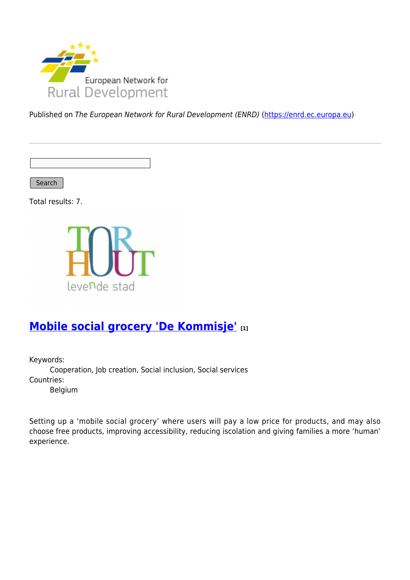

Published on The European Network for Rural Development (ENRD) [\(https://enrd.ec.europa.eu](https://enrd.ec.europa.eu))

Search

Total results: 7.



# **[Mobile social grocery 'De Kommisje'](https://enrd.ec.europa.eu/projects-practice/mobile-social-grocery-de-kommisje_en) [1]**

Keywords:

Cooperation, Job creation, Social inclusion, Social services Countries:

Belgium

Setting up a 'mobile social grocery' where users will pay a low price for products, and may also choose free products, improving accessibility, reducing iscolation and giving families a more 'human' experience.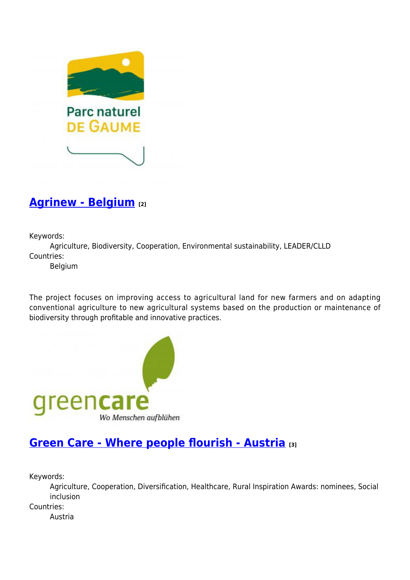

### **[Agrinew - Belgium](https://enrd.ec.europa.eu/projects-practice/agrinew-belgium_en) [2]**

Keywords:

Agriculture, Biodiversity, Cooperation, Environmental sustainability, LEADER/CLLD Countries:

Belgium

The project focuses on improving access to agricultural land for new farmers and on adapting conventional agriculture to new agricultural systems based on the production or maintenance of biodiversity through profitable and innovative practices.



### **[Green Care - Where people flourish - Austria](https://enrd.ec.europa.eu/projects-practice/green-care-where-people-flourish-austria_en) [3]**

Keywords:

Agriculture, Cooperation, Diversification, Healthcare, Rural Inspiration Awards: nominees, Social inclusion Countries: Austria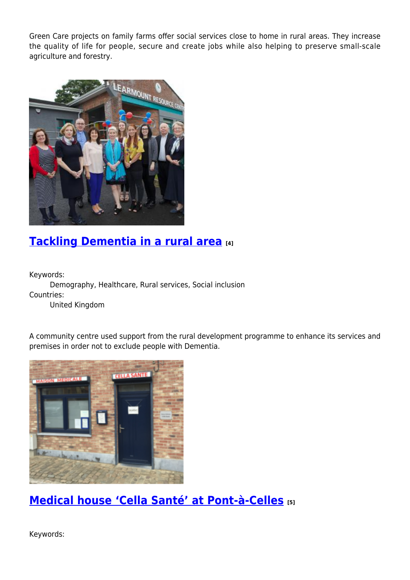Green Care projects on family farms offer social services close to home in rural areas. They increase the quality of life for people, secure and create jobs while also helping to preserve small-scale agriculture and forestry.



## **[Tackling Dementia in a rural area](https://enrd.ec.europa.eu/projects-practice/tackling-dementia-rural-area_en) [4]**

Keywords:

Demography, Healthcare, Rural services, Social inclusion Countries:

United Kingdom

A community centre used support from the rural development programme to enhance its services and premises in order not to exclude people with Dementia.



**[Medical house 'Cella Santé' at Pont-à-Celles](https://enrd.ec.europa.eu/projects-practice/medical-house-cella-sante-pont-celles_en) [5]**

Keywords: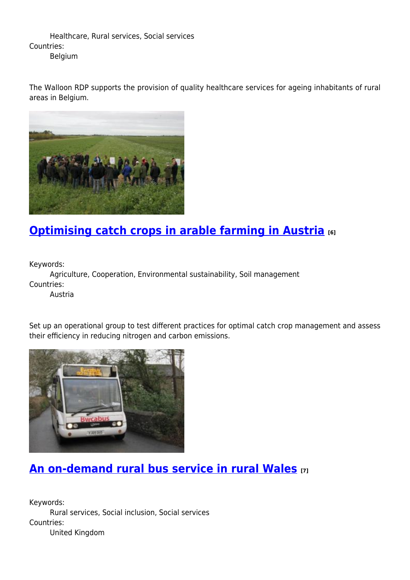Healthcare, Rural services, Social services Countries: Belgium

The Walloon RDP supports the provision of quality healthcare services for ageing inhabitants of rural areas in Belgium.



# **[Optimising catch crops in arable farming in Austria](https://enrd.ec.europa.eu/projects-practice/optimising-catch-crops-arable-farming-austria_en) [6]**

Keywords:

Agriculture, Cooperation, Environmental sustainability, Soil management Countries:

Austria

Set up an operational group to test different practices for optimal catch crop management and assess their efficiency in reducing nitrogen and carbon emissions.



## **[An on-demand rural bus service in rural Wales](https://enrd.ec.europa.eu/projects-practice/demand-rural-bus-service-rural-wales_en) [7]**

Keywords: Rural services, Social inclusion, Social services Countries: United Kingdom